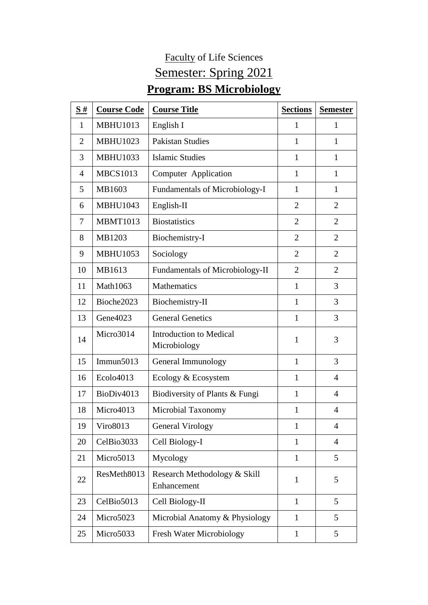## Faculty of Life Sciences Semester: Spring 2021 **Program: BS Microbiology**

| $\underline{\mathbf{S}}$ # | <b>Course Code</b>   | <b>Course Title</b>                            | <b>Sections</b> | <b>Semester</b> |
|----------------------------|----------------------|------------------------------------------------|-----------------|-----------------|
| $\mathbf{1}$               | <b>MBHU1013</b>      | English I                                      | 1               | 1               |
| $\overline{2}$             | <b>MBHU1023</b>      | <b>Pakistan Studies</b>                        | 1               | $\mathbf{1}$    |
| 3                          | <b>MBHU1033</b>      | <b>Islamic Studies</b>                         | 1               | $\mathbf{1}$    |
| $\overline{4}$             | <b>MBCS1013</b>      | Computer Application                           | $\mathbf{1}$    | $\mathbf{1}$    |
| 5                          | MB1603               | Fundamentals of Microbiology-I                 | 1               | $\mathbf{1}$    |
| 6                          | <b>MBHU1043</b>      | English-II                                     | $\overline{2}$  | $\overline{2}$  |
| 7                          | <b>MBMT1013</b>      | <b>Biostatistics</b>                           | $\overline{2}$  | $\overline{2}$  |
| 8                          | MB1203               | Biochemistry-I                                 | $\overline{2}$  | $\overline{2}$  |
| 9                          | <b>MBHU1053</b>      | Sociology                                      | $\overline{2}$  | $\overline{2}$  |
| 10                         | MB1613               | <b>Fundamentals of Microbiology-II</b>         | $\overline{2}$  | $\overline{2}$  |
| 11                         | Math1063             | <b>Mathematics</b>                             | $\mathbf{1}$    | 3               |
| 12                         | Bioche2023           | Biochemistry-II                                | $\mathbf{1}$    | 3               |
| 13                         | Gene <sub>4023</sub> | <b>General Genetics</b>                        | 1               | 3               |
| 14                         | Micro3014            | <b>Introduction to Medical</b><br>Microbiology | 1               | 3               |
| 15                         | Immun $5013$         | General Immunology                             | 1               | 3               |
| 16                         | Ecolo4013            | Ecology & Ecosystem                            | $\mathbf{1}$    | $\overline{4}$  |
| 17                         | BioDiv4013           | Biodiversity of Plants & Fungi                 | 1               | $\overline{4}$  |
| 18                         | Micro4013            | Microbial Taxonomy                             | 1               | $\overline{4}$  |
| 19                         | Viro8013             | General Virology                               | 1               | 4               |
| 20                         | CelBio3033           | Cell Biology-I                                 | $\mathbf{1}$    | $\overline{4}$  |
| 21                         | Micro5013            | Mycology                                       | $\mathbf{1}$    | 5               |
| 22                         | ResMeth8013          | Research Methodology & Skill<br>Enhancement    | $\mathbf{1}$    | 5               |
| 23                         | CelBio5013           | Cell Biology-II                                | $\mathbf{1}$    | 5               |
| 24                         | Micro5023            | Microbial Anatomy & Physiology                 | $\mathbf{1}$    | 5               |
| 25                         | Micro5033            | <b>Fresh Water Microbiology</b>                | $\mathbf{1}$    | 5               |